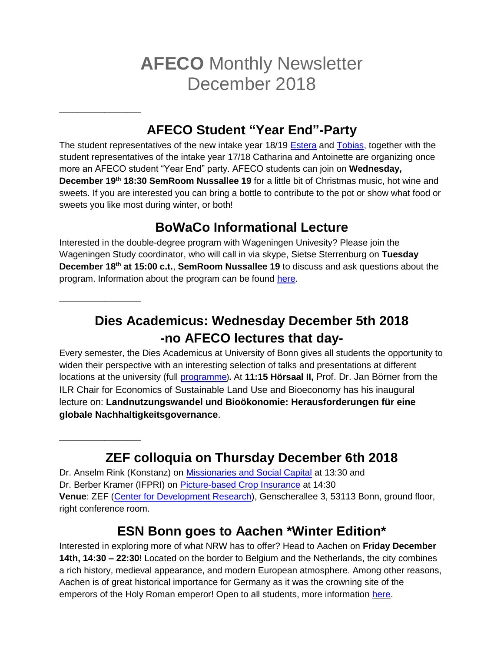# **AFECO** Monthly Newsletter December 2018

# **AFECO Student "Year End"-Party**

The student representatives of the new intake year 18/19 [Estera](mailto:estera.tam@uni-bonn.de) and [Tobias,](mailto:tobiasschroers@uni-bonn.de) together with the student representatives of the intake year 17/18 Catharina and Antoinette are organizing once more an AFECO student "Year End" party. AFECO students can join on **Wednesday, December 19th 18:30 SemRoom Nussallee 19** for a little bit of Christmas music, hot wine and sweets. If you are interested you can bring a bottle to contribute to the pot or show what food or sweets you like most during winter, or both!

# **BoWaCo Informational Lecture**

Interested in the double-degree program with Wageningen Univesity? Please join the Wageningen Study coordinator, who will call in via skype, Sietse Sterrenburg on **Tuesday December 18th at 15:00 c.t.**, **SemRoom Nussallee 19** to discuss and ask questions about the program. Information about the program can be found [here.](https://www.lwf.uni-bonn.de/institute/ilr/bowaco/)

#### **\_\_\_\_\_\_\_\_\_\_\_\_\_\_\_\_\_\_**

**\_\_\_\_\_\_\_\_\_\_\_\_\_\_\_\_\_\_**

**\_\_\_\_\_\_\_\_\_\_\_\_\_\_\_\_\_\_**

**Dies Academicus: Wednesday December 5th 2018 -no AFECO lectures that day-**

Every semester, the Dies Academicus at University of Bonn gives all students the opportunity to widen their perspective with an interesting selection of talks and presentations at different locations at the university (full [programme](https://www.uni-bonn.de/studium/studium-universale/dies-academicus/programmzeitung-dies-academicus-05.12)**).** At **11:15 Hörsaal II,** Prof. Dr. Jan Börner from the ILR Chair for Economics of Sustainable Land Use and Bioeconomy has his inaugural lecture on: **Landnutzungswandel und Bioökonomie: Herausforderungen für eine globale Nachhaltigkeitsgovernance**.

# **ZEF colloquia on Thursday December 6th 2018**

Dr. Anselm Rink (Konstanz) on [Missionaries and Social Capital](https://www.zef.de/media-center/events/details/article/missionaries-and-social-capital.html?contact=1781&cHash=e43825004a88f6f6eb0edd7cc2019c7c) at 13:30 and Dr. Berber Kramer (IFPRI) on [Picture-based Crop Insurance](https://www.zef.de/media-center/events/details/article/demand-for-and-adverse-selection-in-picture-based-crop-insurance.html?contact=1255&cHash=b710748f151e785f7169e3fc7e4491ce) at 14:30 **Venue**: ZEF [\(Center for Development Research\)](https://www.zef.de/footer/how-to-find-us/), Genscherallee 3, 53113 Bonn, ground floor, right conference room.

### **ESN Bonn goes to Aachen \*Winter Edition\***

Interested in exploring more of what NRW has to offer? Head to Aachen on **Friday December 14th, 14:30 – 22:30**! Located on the border to Belgium and the Netherlands, the city combines a rich history, medieval appearance, and modern European atmosphere. Among other reasons, Aachen is of great historical importance for Germany as it was the crowning site of the emperors of the Holy Roman emperor! Open to all students, more information [here.](http://bonn.esn-germany.de/events/esn-bonn-goes-aachen-winter-edition)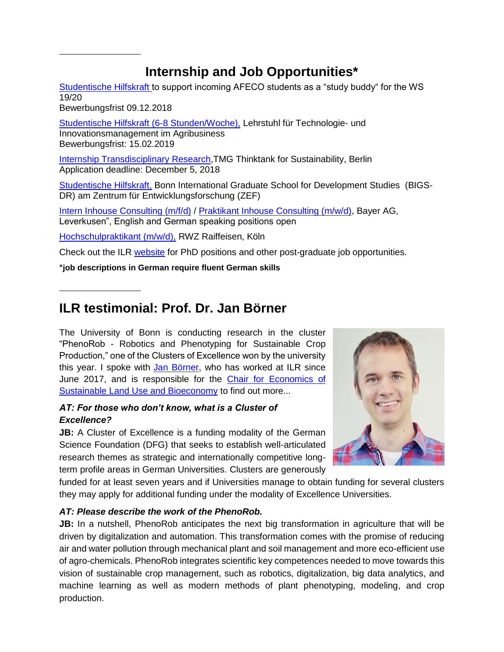# **Internship and Job Opportunities\***

[Studentische Hilfskraft t](http://www.ilr.uni-bonn.de/central/Stellenausschreibung_HiWi_2019.pdf)o support incoming AFECO students as a "study buddy" for the WS 19/20

Bewerbungsfrist 09.12.2018

**\_\_\_\_\_\_\_\_\_\_\_\_\_\_\_\_\_\_**

**\_\_\_\_\_\_\_\_\_\_\_\_\_\_\_\_\_\_**

[Studentische Hilfskraft \(6-8 Stunden/Woche\),](http://www.ilr.uni-bonn.de/central/TIM-Lehrstuhl_Ausschreibung_Hiwis_2019.pdf) Lehrstuhl für Technologie- und Innovationsmanagement im Agribusiness Bewerbungsfrist: 15.02.2019

[Internship Transdisciplinary Research,](https://jobapplication.hrworks.de/?companyId=g27838b&id=0784ce)TMG Thinktank for Sustainability, Berlin Application deadline: December 5, 2018

[Studentische Hilfskraft,](http://www.ilr.uni-bonn.de/central/ZEF_StudentAssistants_2018.pdf) Bonn International Graduate School for Development Studies (BIGS-DR) am Zentrum für Entwicklungsforschung (ZEF)

[Intern Inhouse Consulting \(m/f/d\)](https://karriere.bayer.de/job/Intern-Inhouse-Consulting-m-f-d--SF17462_en_US.html) / [Praktikant Inhouse Consulting \(m/w/d\),](https://karriere.bayer.de/job/Praktikant-Inhouse-Consulting-m-w-d--SF17462_de_DE.html) Bayer AG, Leverkusen", English and German speaking positions open

[Hochschulpraktikant \(m/w/d\),](https://www.jobcluster.de/stellenangebot/hochschulpraktikant-m-w-d---job-koeln-17862.html?custom_header=1) RWZ Raiffeisen, Köln

Check out the ILR [website](http://www.ilr.uni-bonn.de/central/jobs_d.htm) for PhD positions and other post-graduate job opportunities.

\***job descriptions in German require fluent German skills**

### **ILR testimonial: Prof. Dr. Jan Börner**

The University of Bonn is conducting research in the cluster "PhenoRob - Robotics and Phenotyping for Sustainable Crop Production," one of the Clusters of Excellence won by the university this year. I spoke with [Jan Börner,](http://www.ilr.uni-bonn.de/eslu/staff/borner/borner_e.htm) who has worked at ILR since June 2017, and is responsible for the Chair for Economics of [Sustainable Land Use and Bioeconomy](http://www.ilr.uni-bonn.de/eslu/eslu_e.htm) to find out more...

#### *AT: For those who don't know, what is a Cluster of Excellence?*

**JB:** A Cluster of Excellence is a funding modality of the German Science Foundation (DFG) that seeks to establish well-articulated research themes as strategic and internationally competitive longterm profile areas in German Universities. Clusters are generously



funded for at least seven years and if Universities manage to obtain funding for several clusters they may apply for additional funding under the modality of Excellence Universities.

#### *AT: Please describe the work of the PhenoRob.*

**JB:** In a nutshell, PhenoRob anticipates the next big transformation in agriculture that will be driven by digitalization and automation. This transformation comes with the promise of reducing air and water pollution through mechanical plant and soil management and more eco-efficient use of agro-chemicals. PhenoRob integrates scientific key competences needed to move towards this vision of sustainable crop management, such as robotics, digitalization, big data analytics, and machine learning as well as modern methods of plant phenotyping, modeling, and crop production.